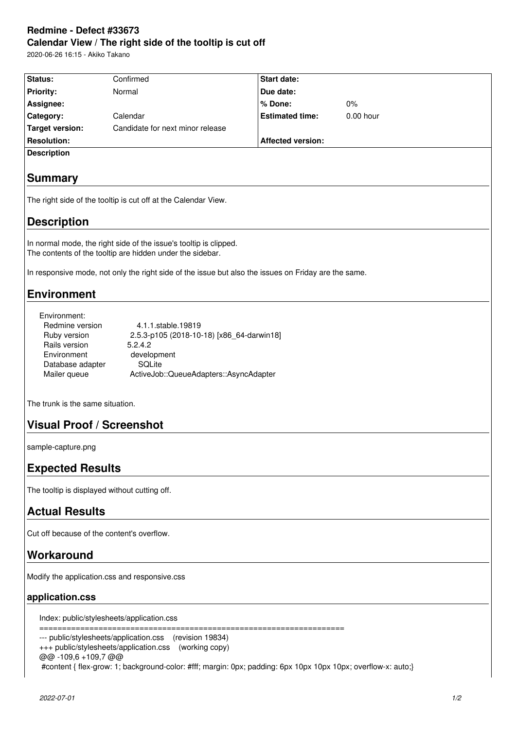# **Redmine - Defect #33673 Calendar View / The right side of the tooltip is cut off**

2020-06-26 16:15 - Akiko Takano

| Status:                                                                                                                                                                                                                                                                                                                    | Confirmed                                                                                            | <b>Start date:</b>       |           |  |
|----------------------------------------------------------------------------------------------------------------------------------------------------------------------------------------------------------------------------------------------------------------------------------------------------------------------------|------------------------------------------------------------------------------------------------------|--------------------------|-----------|--|
| <b>Priority:</b>                                                                                                                                                                                                                                                                                                           | Normal                                                                                               | Due date:                |           |  |
| Assignee:                                                                                                                                                                                                                                                                                                                  |                                                                                                      | % Done:                  | $0\%$     |  |
| Category:                                                                                                                                                                                                                                                                                                                  | Calendar                                                                                             | <b>Estimated time:</b>   | 0.00 hour |  |
| <b>Target version:</b>                                                                                                                                                                                                                                                                                                     | Candidate for next minor release                                                                     |                          |           |  |
| <b>Resolution:</b>                                                                                                                                                                                                                                                                                                         |                                                                                                      | <b>Affected version:</b> |           |  |
| <b>Description</b>                                                                                                                                                                                                                                                                                                         |                                                                                                      |                          |           |  |
|                                                                                                                                                                                                                                                                                                                            |                                                                                                      |                          |           |  |
| <b>Summary</b>                                                                                                                                                                                                                                                                                                             |                                                                                                      |                          |           |  |
| The right side of the tooltip is cut off at the Calendar View.                                                                                                                                                                                                                                                             |                                                                                                      |                          |           |  |
| <b>Description</b>                                                                                                                                                                                                                                                                                                         |                                                                                                      |                          |           |  |
| In normal mode, the right side of the issue's tooltip is clipped.<br>The contents of the tooltip are hidden under the sidebar.                                                                                                                                                                                             |                                                                                                      |                          |           |  |
|                                                                                                                                                                                                                                                                                                                            | In responsive mode, not only the right side of the issue but also the issues on Friday are the same. |                          |           |  |
| <b>Environment</b>                                                                                                                                                                                                                                                                                                         |                                                                                                      |                          |           |  |
| Environment:<br>Redmine version<br>4.1.1.stable.19819<br>Ruby version<br>2.5.3-p105 (2018-10-18) [x86_64-darwin18]<br>Rails version<br>5.2.4.2<br>Environment<br>development<br>Database adapter<br>SQLite<br>Mailer queue<br>ActiveJob::QueueAdapters::AsyncAdapter                                                       |                                                                                                      |                          |           |  |
| The trunk is the same situation.                                                                                                                                                                                                                                                                                           |                                                                                                      |                          |           |  |
| <b>Visual Proof / Screenshot</b>                                                                                                                                                                                                                                                                                           |                                                                                                      |                          |           |  |
| sample-capture.png                                                                                                                                                                                                                                                                                                         |                                                                                                      |                          |           |  |
| <b>Expected Results</b>                                                                                                                                                                                                                                                                                                    |                                                                                                      |                          |           |  |
| The tooltip is displayed without cutting off.                                                                                                                                                                                                                                                                              |                                                                                                      |                          |           |  |
| <b>Actual Results</b>                                                                                                                                                                                                                                                                                                      |                                                                                                      |                          |           |  |
| Cut off because of the content's overflow.                                                                                                                                                                                                                                                                                 |                                                                                                      |                          |           |  |
| Workaround                                                                                                                                                                                                                                                                                                                 |                                                                                                      |                          |           |  |
| Modify the application.css and responsive.css                                                                                                                                                                                                                                                                              |                                                                                                      |                          |           |  |
| application.css                                                                                                                                                                                                                                                                                                            |                                                                                                      |                          |           |  |
| Index: public/stylesheets/application.css                                                                                                                                                                                                                                                                                  |                                                                                                      |                          |           |  |
| --------------------<br>======================================<br>--- public/stylesheets/application.css<br>(revision 19834)<br>+++ public/stylesheets/application.css (working copy)<br>@@-109,6+109,7@@<br>#content { flex-grow: 1; background-color: #fff; margin: 0px; padding: 6px 10px 10px 10px; overflow-x: auto;} |                                                                                                      |                          |           |  |